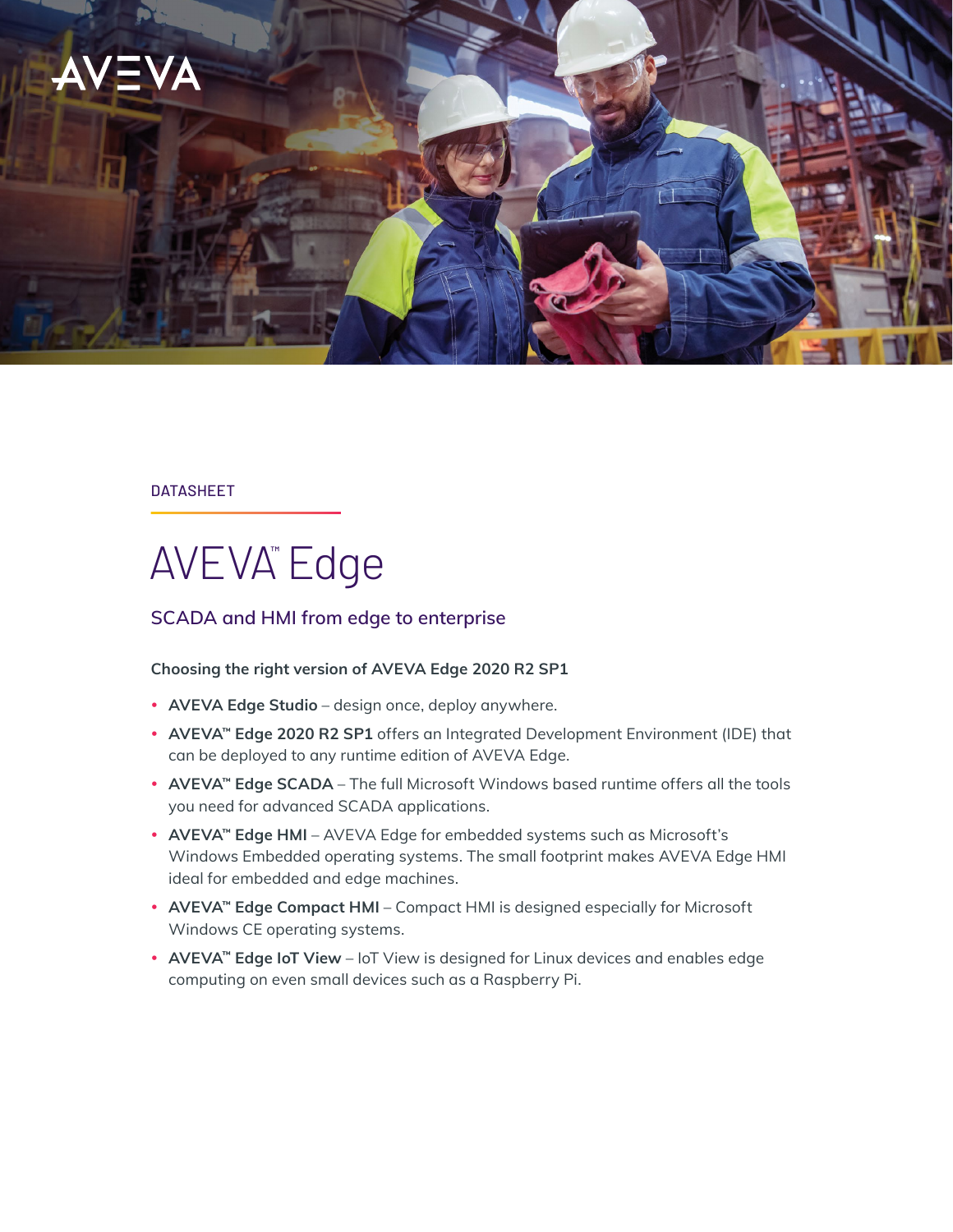

#### DATASHEET

# AVEVA™ Edge

### **SCADA and HMI from edge to enterprise**

#### **Choosing the right version of AVEVA Edge 2020 R2 SP1**

- AVEVA Edge Studio design once, deploy anywhere.
- AVEVA<sup>™</sup> Edge 2020 R2 SP1 offers an Integrated Development Environment (IDE) that can be deployed to any runtime edition of AVEVA Edge.
- AVEVA<sup>™</sup> Edge SCADA The full Microsoft Windows based runtime offers all the tools you need for advanced SCADA applications.
- **AVEVA™ Edge HMI** AVEVA Edge for embedded systems such as Microsoft's Windows Embedded operating systems. The small footprint makes AVEVA Edge HMI ideal for embedded and edge machines.
- **AVEVA™ Edge Compact HMI** Compact HMI is designed especially for Microsoft Windows CE operating systems.
- **AVEVA™ Edge IoT View** IoT View is designed for Linux devices and enables edge computing on even small devices such as a Raspberry Pi.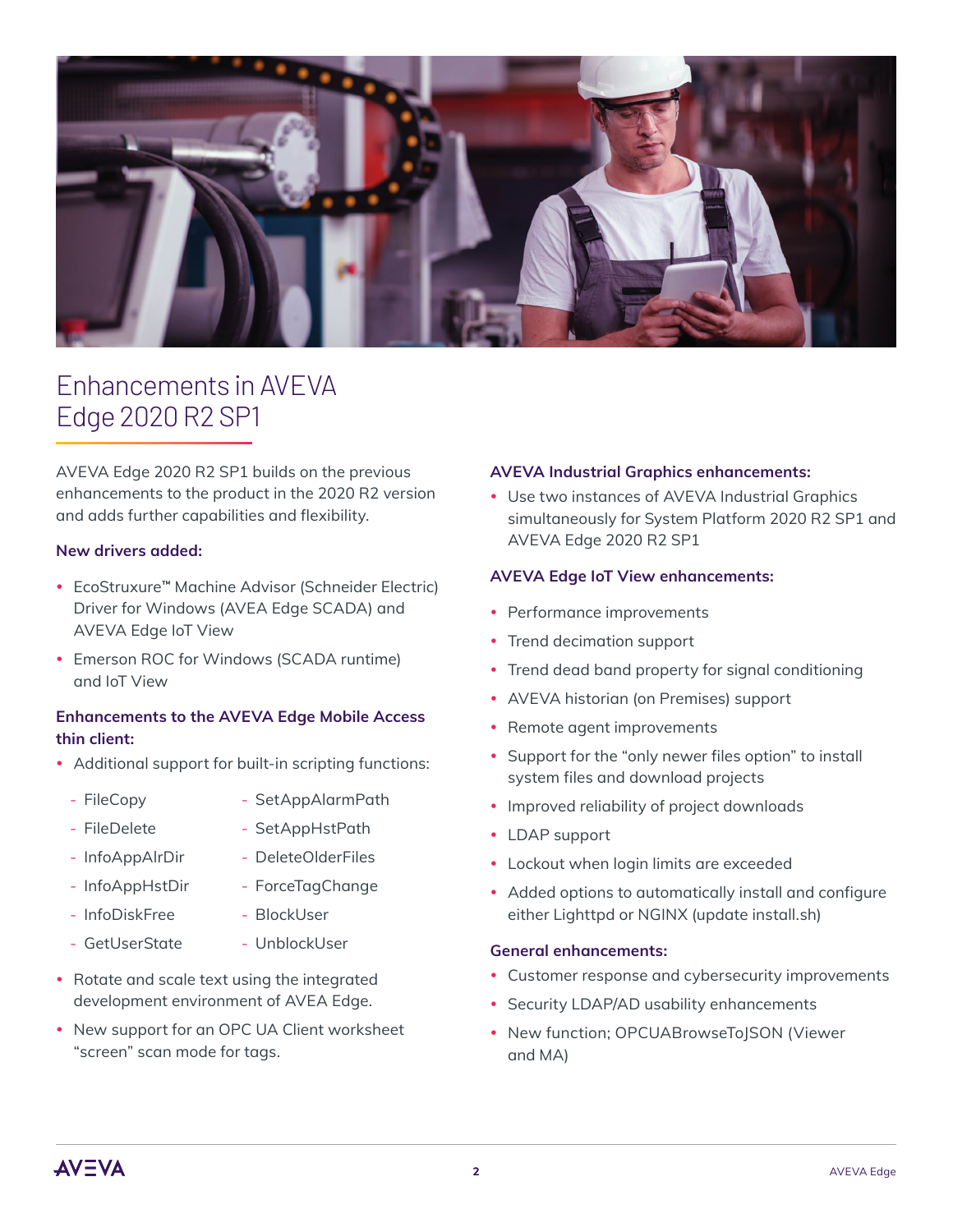

## Enhancements in AVEVA Edge 2020 R2 SP1

AVEVA Edge 2020 R2 SP1 builds on the previous enhancements to the product in the 2020 R2 version and adds further capabilities and flexibility.

#### **New drivers added:**

- y EcoStruxure**™** Machine Advisor (Schneider Electric) Driver for Windows (AVEA Edge SCADA) and AVEVA Edge IoT View
- Emerson ROC for Windows (SCADA runtime) and IoT View

#### **Enhancements to the AVEVA Edge Mobile Access thin client:**

- Additional support for built-in scripting functions:
	- FileCopy
		- SetAppHstPath
	- InfoAppAlrDir

- FileDelete

- DeleteOlderFiles - ForceTagChange
- InfoAppHstDir
- InfoDiskFree - BlockUser
- GetUserState
- UnblockUser

- SetAppAlarmPath

- Rotate and scale text using the integrated development environment of AVEA Edge.
- New support for an OPC UA Client worksheet "screen" scan mode for tags.

#### **AVEVA Industrial Graphics enhancements:**

• Use two instances of AVEVA Industrial Graphics simultaneously for System Platform 2020 R2 SP1 and AVEVA Edge 2020 R2 SP1

#### **AVEVA Edge IoT View enhancements:**

- Performance improvements
- Trend decimation support
- Trend dead band property for signal conditioning
- AVEVA historian (on Premises) support
- Remote agent improvements
- Support for the "only newer files option" to install system files and download projects
- Improved reliability of project downloads
- LDAP support
- Lockout when login limits are exceeded
- Added options to automatically install and configure either Lighttpd or NGINX (update install.sh)

#### **General enhancements:**

- Customer response and cybersecurity improvements
- Security LDAP/AD usability enhancements
- New function; OPCUABrowseToJSON (Viewer and MA)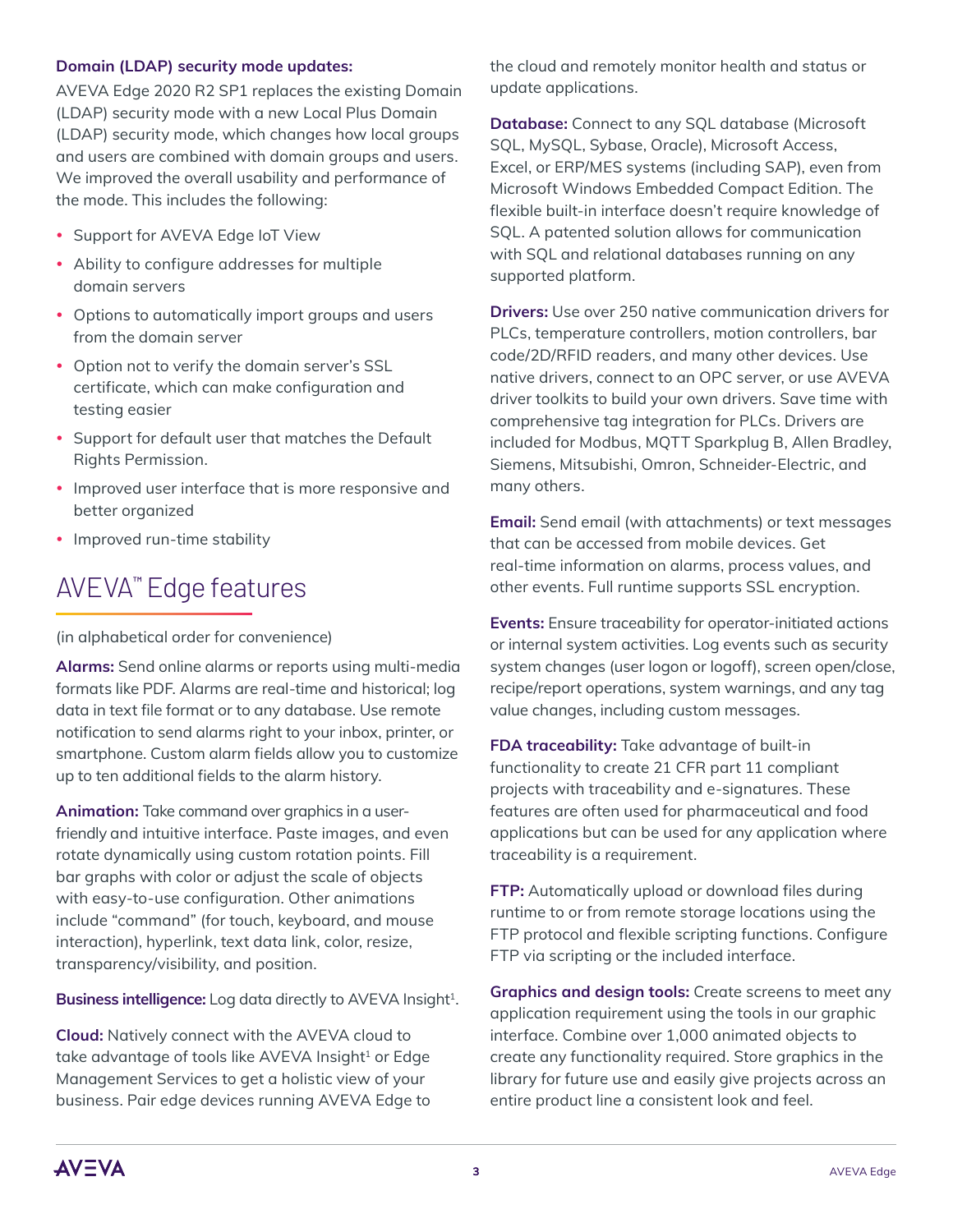#### **Domain (LDAP) security mode updates:**

AVEVA Edge 2020 R2 SP1 replaces the existing Domain (LDAP) security mode with a new Local Plus Domain (LDAP) security mode, which changes how local groups and users are combined with domain groups and users. We improved the overall usability and performance of the mode. This includes the following:

- Support for AVEVA Edge IoT View
- Ability to configure addresses for multiple domain servers
- Options to automatically import groups and users from the domain server
- Option not to verify the domain server's SSL certificate, which can make configuration and testing easier
- Support for default user that matches the Default Rights Permission.
- Improved user interface that is more responsive and better organized
- Improved run-time stability

## AVEVA™ Edge features

(in alphabetical order for convenience)

**Alarms:** Send online alarms or reports using multi-media formats like PDF. Alarms are real-time and historical; log data in text file format or to any database. Use remote notification to send alarms right to your inbox, printer, or smartphone. Custom alarm fields allow you to customize up to ten additional fields to the alarm history.

**Animation:** Take command over graphics in a userfriendly and intuitive interface. Paste images, and even rotate dynamically using custom rotation points. Fill bar graphs with color or adjust the scale of objects with easy-to-use configuration. Other animations include "command" (for touch, keyboard, and mouse interaction), hyperlink, text data link, color, resize, transparency/visibility, and position.

**Business intelligence:** Log data directly to AVEVA Insight<sup>1</sup>.

**Cloud:** Natively connect with the AVEVA cloud to take advantage of tools like AVEVA Insight<sup>1</sup> or Edge Management Services to get a holistic view of your business. Pair edge devices running AVEVA Edge to the cloud and remotely monitor health and status or update applications.

**Database:** Connect to any SQL database (Microsoft SQL, MySQL, Sybase, Oracle), Microsoft Access, Excel, or ERP/MES systems (including SAP), even from Microsoft Windows Embedded Compact Edition. The flexible built-in interface doesn't require knowledge of SQL. A patented solution allows for communication with SQL and relational databases running on any supported platform.

**Drivers:** Use over 250 native communication drivers for PLCs, temperature controllers, motion controllers, bar code/2D/RFID readers, and many other devices. Use native drivers, connect to an OPC server, or use AVEVA driver toolkits to build your own drivers. Save time with comprehensive tag integration for PLCs. Drivers are included for Modbus, MQTT Sparkplug B, Allen Bradley, Siemens, Mitsubishi, Omron, Schneider-Electric, and many others.

**Email:** Send email (with attachments) or text messages that can be accessed from mobile devices. Get real-time information on alarms, process values, and other events. Full runtime supports SSL encryption.

**Events:** Ensure traceability for operator-initiated actions or internal system activities. Log events such as security system changes (user logon or logoff), screen open/close, recipe/report operations, system warnings, and any tag value changes, including custom messages.

**FDA traceability:** Take advantage of built-in functionality to create 21 CFR part 11 compliant projects with traceability and e-signatures. These features are often used for pharmaceutical and food applications but can be used for any application where traceability is a requirement.

**FTP:** Automatically upload or download files during runtime to or from remote storage locations using the FTP protocol and flexible scripting functions. Configure FTP via scripting or the included interface.

**Graphics and design tools:** Create screens to meet any application requirement using the tools in our graphic interface. Combine over 1,000 animated objects to create any functionality required. Store graphics in the library for future use and easily give projects across an entire product line a consistent look and feel.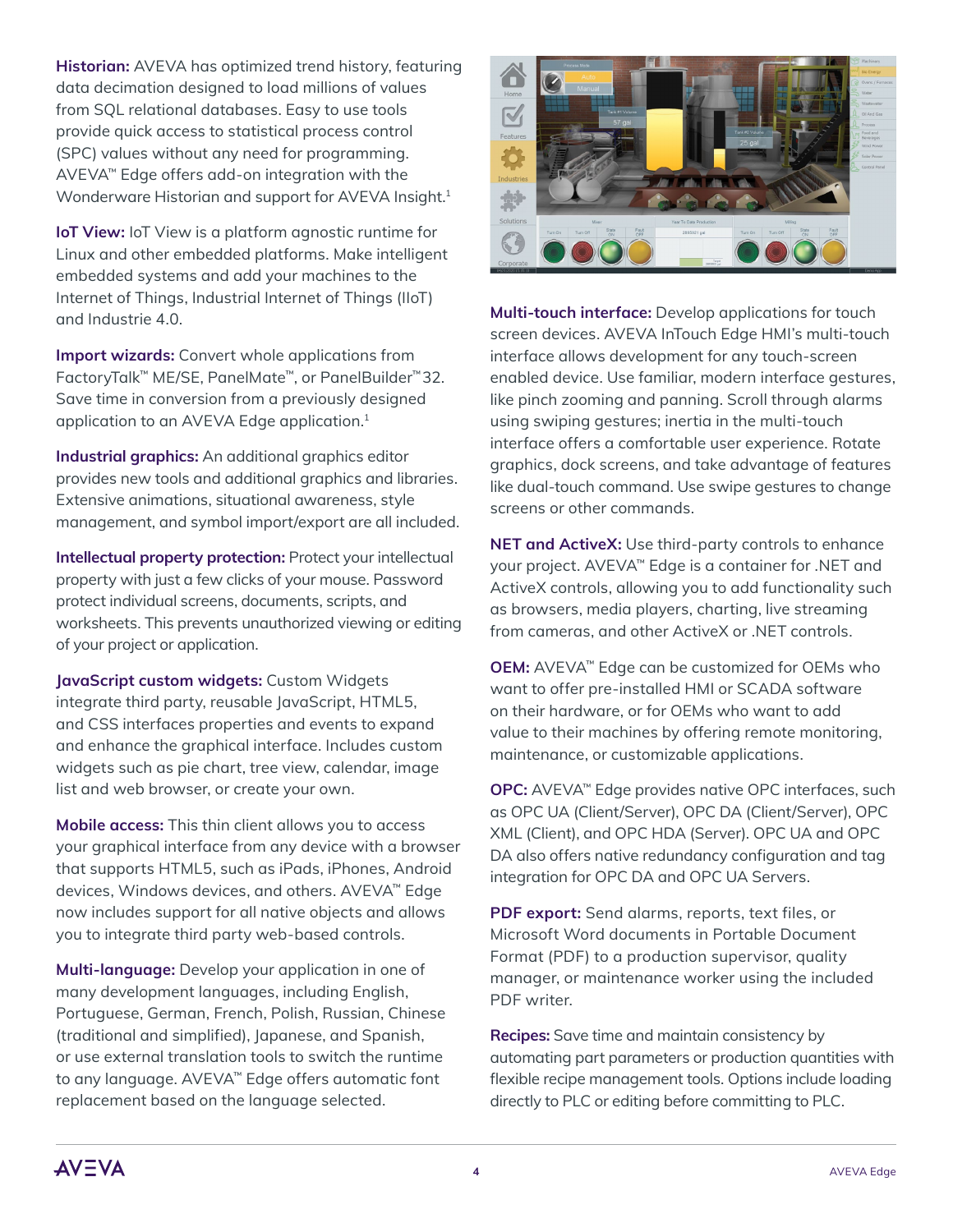**Historian:** AVEVA has optimized trend history, featuring data decimation designed to load millions of values from SQL relational databases. Easy to use tools provide quick access to statistical process control (SPC) values without any need for programming. AVEVA™ Edge offers add-on integration with the Wonderware Historian and support for AVEVA Insight.<sup>1</sup>

**IoT View:** IoT View is a platform agnostic runtime for Linux and other embedded platforms. Make intelligent embedded systems and add your machines to the Internet of Things, Industrial Internet of Things (IIoT) and Industrie 4.0.

**Import wizards:** Convert whole applications from FactoryTalk™ ME/SE, PanelMate™, or PanelBuilder™ 32. Save time in conversion from a previously designed application to an AVEVA Edge application.<sup>1</sup>

**Industrial graphics:** An additional graphics editor provides new tools and additional graphics and libraries. Extensive animations, situational awareness, style management, and symbol import/export are all included.

**Intellectual property protection:** Protect your intellectual property with just a few clicks of your mouse. Password protect individual screens, documents, scripts, and worksheets. This prevents unauthorized viewing or editing of your project or application.

**JavaScript custom widgets:** Custom Widgets integrate third party, reusable JavaScript, HTML5, and CSS interfaces properties and events to expand and enhance the graphical interface. Includes custom widgets such as pie chart, tree view, calendar, image list and web browser, or create your own.

**Mobile access:** This thin client allows you to access your graphical interface from any device with a browser that supports HTML5, such as iPads, iPhones, Android devices, Windows devices, and others. AVEVA™ Edge now includes support for all native objects and allows you to integrate third party web-based controls.

**Multi-language:** Develop your application in one of many development languages, including English, Portuguese, German, French, Polish, Russian, Chinese (traditional and simplified), Japanese, and Spanish, or use external translation tools to switch the runtime to any language. AVEVA™ Edge offers automatic font replacement based on the language selected.



**Multi-touch interface:** Develop applications for touch screen devices. AVEVA InTouch Edge HMI's multi-touch interface allows development for any touch-screen enabled device. Use familiar, modern interface gestures, like pinch zooming and panning. Scroll through alarms using swiping gestures; inertia in the multi-touch interface offers a comfortable user experience. Rotate graphics, dock screens, and take advantage of features like dual-touch command. Use swipe gestures to change screens or other commands.

**NET and ActiveX:** Use third-party controls to enhance your project. AVEVA™ Edge is a container for .NET and ActiveX controls, allowing you to add functionality such as browsers, media players, charting, live streaming from cameras, and other ActiveX or .NET controls.

**OEM:** AVEVA™ Edge can be customized for OEMs who want to offer pre-installed HMI or SCADA software on their hardware, or for OEMs who want to add value to their machines by offering remote monitoring, maintenance, or customizable applications.

**OPC:** AVEVA™ Edge provides native OPC interfaces, such as OPC UA (Client/Server), OPC DA (Client/Server), OPC XML (Client), and OPC HDA (Server). OPC UA and OPC DA also offers native redundancy configuration and tag integration for OPC DA and OPC UA Servers.

**PDF export:** Send alarms, reports, text files, or Microsoft Word documents in Portable Document Format (PDF) to a production supervisor, quality manager, or maintenance worker using the included PDF writer.

**Recipes:** Save time and maintain consistency by automating part parameters or production quantities with flexible recipe management tools. Options include loading directly to PLC or editing before committing to PLC.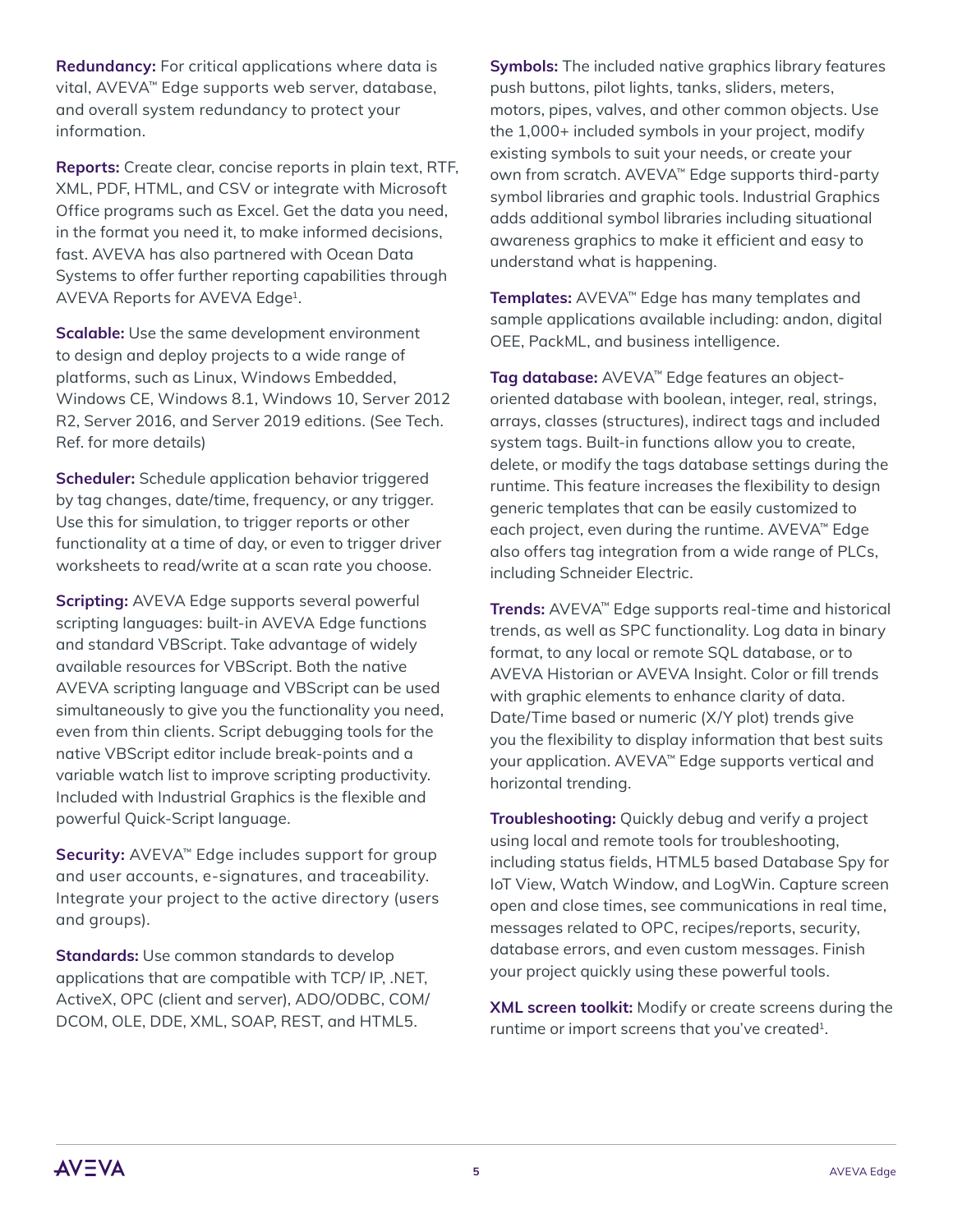**Redundancy:** For critical applications where data is vital, AVEVA™ Edge supports web server, database, and overall system redundancy to protect your information.

**Reports:** Create clear, concise reports in plain text, RTF, XML, PDF, HTML, and CSV or integrate with Microsoft Office programs such as Excel. Get the data you need, in the format you need it, to make informed decisions, fast. AVEVA has also partnered with Ocean Data Systems to offer further reporting capabilities through AVEVA Reports for AVEVA Edge1.

**Scalable:** Use the same development environment to design and deploy projects to a wide range of platforms, such as Linux, Windows Embedded, Windows CE, Windows 8.1, Windows 10, Server 2012 R2, Server 2016, and Server 2019 editions. (See Tech. Ref. for more details)

**Scheduler:** Schedule application behavior triggered by tag changes, date/time, frequency, or any trigger. Use this for simulation, to trigger reports or other functionality at a time of day, or even to trigger driver worksheets to read/write at a scan rate you choose.

**Scripting:** AVEVA Edge supports several powerful scripting languages: built-in AVEVA Edge functions and standard VBScript. Take advantage of widely available resources for VBScript. Both the native AVEVA scripting language and VBScript can be used simultaneously to give you the functionality you need, even from thin clients. Script debugging tools for the native VBScript editor include break-points and a variable watch list to improve scripting productivity. Included with Industrial Graphics is the flexible and powerful Quick-Script language.

**Security:** AVEVA™ Edge includes support for group and user accounts, e-signatures, and traceability. Integrate your project to the active directory (users and groups).

**Standards:** Use common standards to develop applications that are compatible with TCP/ IP, .NET, ActiveX, OPC (client and server), ADO/ODBC, COM/ DCOM, OLE, DDE, XML, SOAP, REST, and HTML5.

**Symbols:** The included native graphics library features push buttons, pilot lights, tanks, sliders, meters, motors, pipes, valves, and other common objects. Use the 1,000+ included symbols in your project, modify existing symbols to suit your needs, or create your own from scratch. AVEVA™ Edge supports third-party symbol libraries and graphic tools. Industrial Graphics adds additional symbol libraries including situational awareness graphics to make it efficient and easy to understand what is happening.

**Templates:** AVEVA™ Edge has many templates and sample applications available including: andon, digital OEE, PackML, and business intelligence.

**Tag database:** AVEVA™ Edge features an objectoriented database with boolean, integer, real, strings, arrays, classes (structures), indirect tags and included system tags. Built-in functions allow you to create, delete, or modify the tags database settings during the runtime. This feature increases the flexibility to design generic templates that can be easily customized to each project, even during the runtime. AVEVA™ Edge also offers tag integration from a wide range of PLCs, including Schneider Electric.

**Trends:** AVEVA™ Edge supports real-time and historical trends, as well as SPC functionality. Log data in binary format, to any local or remote SQL database, or to AVEVA Historian or AVEVA Insight. Color or fill trends with graphic elements to enhance clarity of data. Date/Time based or numeric (X/Y plot) trends give you the flexibility to display information that best suits your application. AVEVA™ Edge supports vertical and horizontal trending.

**Troubleshooting:** Quickly debug and verify a project using local and remote tools for troubleshooting, including status fields, HTML5 based Database Spy for IoT View, Watch Window, and LogWin. Capture screen open and close times, see communications in real time, messages related to OPC, recipes/reports, security, database errors, and even custom messages. Finish your project quickly using these powerful tools.

**XML screen toolkit:** Modify or create screens during the runtime or import screens that you've created<sup>1</sup>.